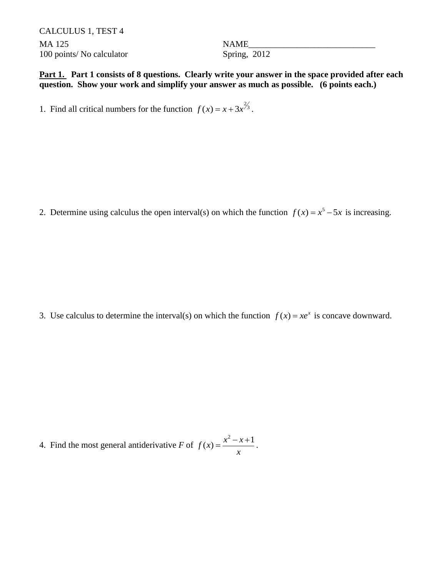CALCULUS 1, TEST 4 MA 125 Secondary State of the NAME 100 points/ No calculator Spring, 2012

**Part 1. Part 1 consists of 8 questions. Clearly write your answer in the space provided after each question. Show your work and simplify your answer as much as possible. (6 points each.)**

1. Find all critical numbers for the function  $f(x) = x + 3x^{\frac{2}{3}}$ .

2. Determine using calculus the open interval(s) on which the function  $f(x) = x^5 - 5x$  is increasing.

3. Use calculus to determine the interval(s) on which the function  $f(x) = xe^x$  is concave downward.

4. Find the most general antiderivative *F* of  $f(x) = \frac{x^2 - x + 1}{x}$ *x*  $=\frac{x^2-x+1}{x}$ .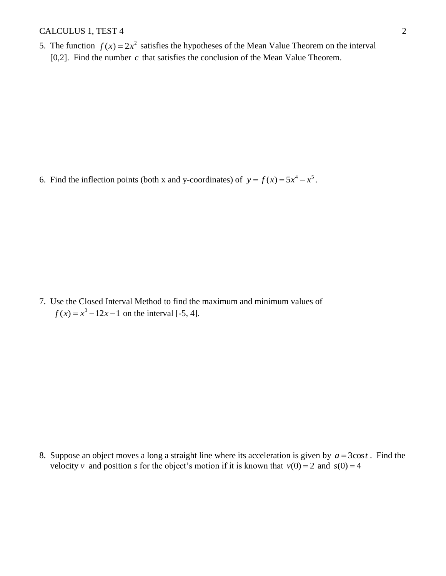## CALCULUS 1, TEST 4 2

5. The function  $f(x) = 2x^2$  satisfies the hypotheses of the Mean Value Theorem on the interval [ $0,2$ ]. Find the number  $c$  that satisfies the conclusion of the Mean Value Theorem.

6. Find the inflection points (both x and y-coordinates) of  $y = f(x) = 5x^4 - x^5$ .

7. Use the Closed Interval Method to find the maximum and minimum values of  $f(x) = x^3 - 12x - 1$  on the interval [-5, 4].

8. Suppose an object moves a long a straight line where its acceleration is given by  $a = 3\cos t$ . Find the velocity *v* and position *s* for the object's motion if it is known that  $v(0) = 2$  and  $s(0) = 4$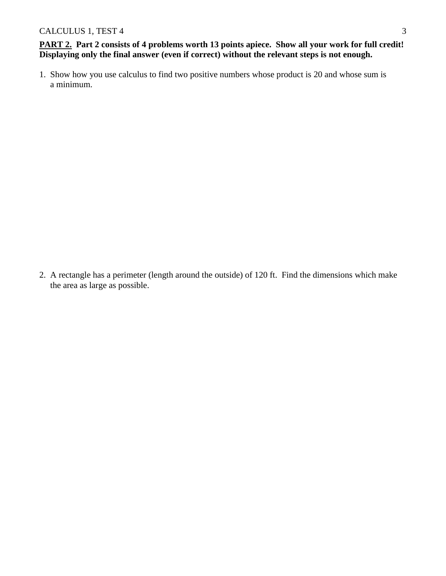**PART 2. Part 2 consists of 4 problems worth 13 points apiece. Show all your work for full credit! Displaying only the final answer (even if correct) without the relevant steps is not enough.**

1. Show how you use calculus to find two positive numbers whose product is 20 and whose sum is a minimum.

2. A rectangle has a perimeter (length around the outside) of 120 ft. Find the dimensions which make the area as large as possible.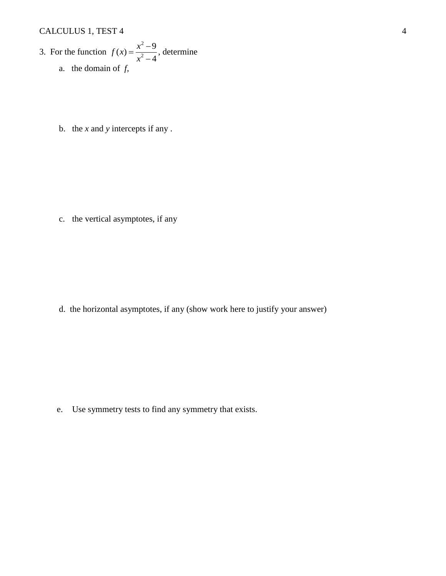## CALCULUS 1, TEST 4 4

3. For the function 
$$
f(x) = \frac{x^2 - 9}{x^2 - 4}
$$
, determine  
a. the domain of f,

b. the *x* and *y* intercepts if any .

c. the vertical asymptotes, if any

d. the horizontal asymptotes, if any (show work here to justify your answer)

e. Use symmetry tests to find any symmetry that exists.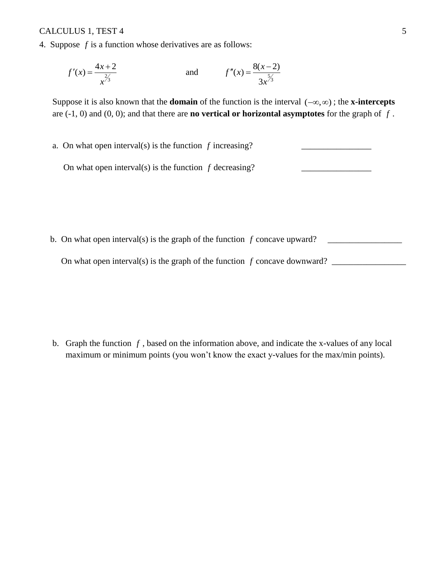## CALCULUS 1, TEST 4 5

4. Suppose  $f$  is a function whose derivatives are as follows:

$$
f'(x) = \frac{4x+2}{x^{\frac{2}{3}}}
$$
 and  $f''(x) = \frac{8(x-2)}{3x^{\frac{5}{3}}}$ 

Suppose it is also known that the **domain** of the function is the interval  $(-\infty, \infty)$ ; the **x-intercepts** are  $(-1, 0)$  and  $(0, 0)$ ; and that there are **no vertical or horizontal asymptotes** for the graph of  $f$ .

a. On what open interval(s) is the function  $f$  increasing?  $\qquad \qquad \qquad$ 

On what open interval(s) is the function f decreasing? \_\_\_\_\_\_\_\_\_\_\_\_\_\_\_\_\_\_\_\_\_\_\_\_\_

 b. On what open interval(s) is the graph of the function *f* On what open interval(s) is the graph of the function  $f$  concave downward?  $\frac{1}{\sqrt{2}}$ 

b. Graph the function  $f$ , based on the information above, and indicate the x-values of any local maximum or minimum points (you won't know the exact y-values for the max/min points).